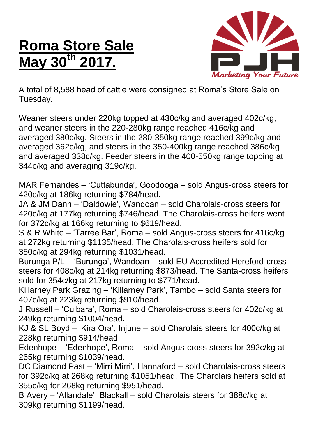## **Roma Store Sale May 30th 2017.**



A total of 8,588 head of cattle were consigned at Roma's Store Sale on Tuesday.

Weaner steers under 220kg topped at 430c/kg and averaged 402c/kg, and weaner steers in the 220-280kg range reached 416c/kg and averaged 380c/kg. Steers in the 280-350kg range reached 399c/kg and averaged 362c/kg, and steers in the 350-400kg range reached 386c/kg and averaged 338c/kg. Feeder steers in the 400-550kg range topping at 344c/kg and averaging 319c/kg.

MAR Fernandes – 'Cuttabunda', Goodooga – sold Angus-cross steers for 420c/kg at 186kg returning \$784/head.

JA & JM Dann – 'Daldowie', Wandoan – sold Charolais-cross steers for 420c/kg at 177kg returning \$746/head. The Charolais-cross heifers went for 372c/kg at 166kg returning to \$619/head.

S & R White – 'Tarree Bar', Roma – sold Angus-cross steers for 416c/kg at 272kg returning \$1135/head. The Charolais-cross heifers sold for 350c/kg at 294kg returning \$1031/head.

Burunga P/L – 'Burunga', Wandoan – sold EU Accredited Hereford-cross steers for 408c/kg at 214kg returning \$873/head. The Santa-cross heifers sold for 354c/kg at 217kg returning to \$771/head.

Killarney Park Grazing – 'Killarney Park', Tambo – sold Santa steers for 407c/kg at 223kg returning \$910/head.

J Russell – 'Culbara', Roma – sold Charolais-cross steers for 402c/kg at 249kg returning \$1004/head.

KJ & SL Boyd – 'Kira Ora', Injune – sold Charolais steers for 400c/kg at 228kg returning \$914/head.

Edenhope – 'Edenhope', Roma – sold Angus-cross steers for 392c/kg at 265kg returning \$1039/head.

DC Diamond Past – 'Mirri Mirri', Hannaford – sold Charolais-cross steers for 392c/kg at 268kg returning \$1051/head. The Charolais heifers sold at 355c/kg for 268kg returning \$951/head.

B Avery – 'Allandale', Blackall – sold Charolais steers for 388c/kg at 309kg returning \$1199/head.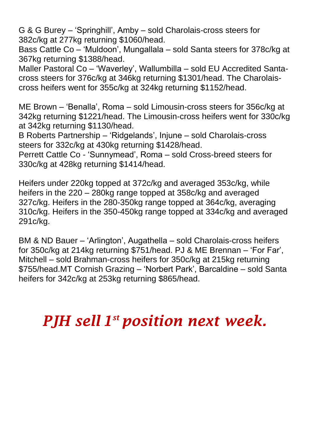G & G Burey – 'Springhill', Amby – sold Charolais-cross steers for 382c/kg at 277kg returning \$1060/head.

Bass Cattle Co – 'Muldoon', Mungallala – sold Santa steers for 378c/kg at 367kg returning \$1388/head.

Maller Pastoral Co – 'Waverley', Wallumbilla – sold EU Accredited Santacross steers for 376c/kg at 346kg returning \$1301/head. The Charolaiscross heifers went for 355c/kg at 324kg returning \$1152/head.

ME Brown – 'Benalla', Roma – sold Limousin-cross steers for 356c/kg at 342kg returning \$1221/head. The Limousin-cross heifers went for 330c/kg at 342kg returning \$1130/head.

B Roberts Partnership – 'Ridgelands', Injune – sold Charolais-cross steers for 332c/kg at 430kg returning \$1428/head.

Perrett Cattle Co - 'Sunnymead', Roma – sold Cross-breed steers for 330c/kg at 428kg returning \$1414/head.

Heifers under 220kg topped at 372c/kg and averaged 353c/kg, while heifers in the 220 – 280kg range topped at 358c/kg and averaged 327c/kg. Heifers in the 280-350kg range topped at 364c/kg, averaging 310c/kg. Heifers in the 350-450kg range topped at 334c/kg and averaged 291c/kg.

BM & ND Bauer – 'Arlington', Augathella – sold Charolais-cross heifers for 350c/kg at 214kg returning \$751/head. PJ & ME Brennan – 'For Far', Mitchell – sold Brahman-cross heifers for 350c/kg at 215kg returning \$755/head.MT Cornish Grazing – 'Norbert Park', Barcaldine – sold Santa heifers for 342c/kg at 253kg returning \$865/head.

*PJH sell 1 st position next week.*